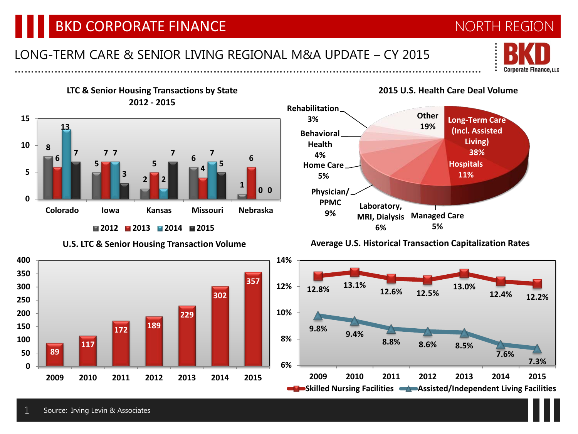### BKD CORPORATE FINANCE NORTH REGION

**LTC & Senior Housing Transactions by State**

#### LONG-TERM CARE & SENIOR LIVING REGIONAL M&A UPDATE – CY 2015

**2015 U.S. Health Care Deal Volume**

**19%**

**Long-Term Care (Incl. Assisted Living) 38% Hospitals 11%**



**U.S. LTC & Senior Housing Transaction Volume**











# ……………………………………………………………………………………………………………………………